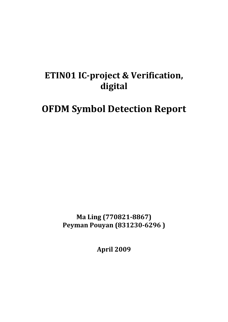# **ETIN01 ICproject & Verification, digital**

# **OFDM Symbol Detection Report**

**Ma Ling (7708218867) Peyman Pouyan (8312306296 )**

**April 2009**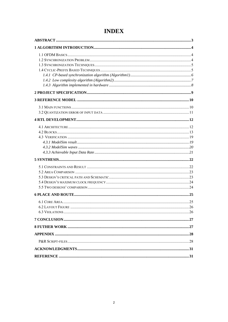# **INDEX**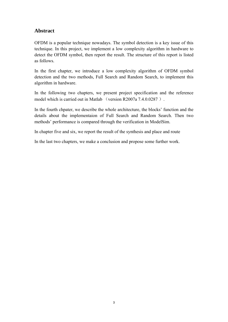## <span id="page-2-0"></span>**Abstract**

OFDM is a popular technique nowadays. The symbol detection is a key issue of this technique. In this project, we implement a low complexity algorithm in hardware to detect the OFDM symbol, then report the result. The structure of this report is listed as follows.

In the first chapter, we introduce a low complexity algorithm of OFDM symbol detection and the two methods, Full Search and Random Search, to implement this algorithm in hardware.

In the following two chapters, we present project specification and the reference model which is carried out in Matlab (version R2007a 7.4.0.0287).

In the fourth chpater, we describe the whole architecture, the blocks' function and the details about the implementaion of Full Search and Random Search. Then two methods' performance is compared through the verification in ModelSim.

In chapter five and six, we report the result of the synthesis and place and route

In the last two chapters, we make a conclusion and propose some further work.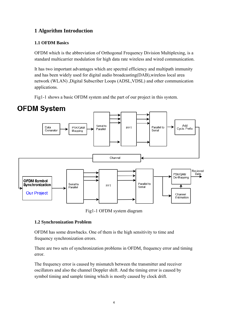# <span id="page-3-0"></span>**1 Algorithm Introduction**

## **1.1 OFDM Basics**

OFDM which is the abbreviation of Orthogonal Frequency Division Multiplexing, is a standard multicarrier modulation for high data rate wireless and wired communication.

It has two important advantages which are spectral efficiency and multipath immunity and has been widely used for digital audio broadcasting(DAB),wireless local area network (WLAN) ,Digital Subscriber Loops (ADSL,VDSL) and other communication applications.

Fig1-1 shows a basic OFDM system and the part of our project in this system.



Fig1-1 OFDM system diagram

## **1.2 Synchronization Problem**

OFDM has some drawbacks. One of them is the high sensitivity to time and frequency synchronization errors.

There are two sets of synchronization problems in OFDM, frequency error and timing error.

The frequency error is caused by mismatch between the transmitter and receiver oscillators and also the channel Doppler shift. And the timing error is caused by symbol timing and sample timing which is mostly caused by clock drift.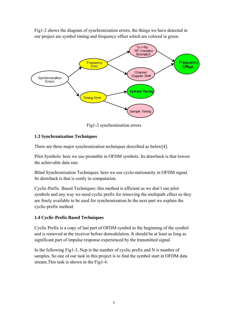<span id="page-4-0"></span>Fig1-2 shows the diagram of synchronization errors, the things we have detected in our project are symbol timing and frequency offset which are colored in green.



Fig1-2 synchronization errors

## **1.3 Synchronization Techniques**

There are three major synchronization techniques described as below[4].

Pilot Symbols: here we use preamble in OFDM symbols. Its drawback is that lowers the achievable data rate.

Blind Synchronization Techniques: here we use cyclo-stationarity in OFDM signal. Its drawback is that is costly in computation.

Cyclic-Prefix Based Techniques: this method is efficient as we don't use pilot symbols and any way we need cyclic prefix for removing the multipath effect so they are freely available to be used for synchronization.In the next part we explain the cyclic-prefix method.

## **1.4 Cyclic-Prefix Based Techniques**

Cyclic Prefix is a copy of last part of OFDM symbol to the beginning of the symbol and is removed at the receiver before demodulation. It should be at least as long as significant part of impulse response experienced by the transmitted signal.

In the following Fig1-3, Ncp is the number of cyclic prefix and N is number of samples. So one of our task in this project is to find the symbol start in OFDM data stream.This task is shown in the Fig1-4.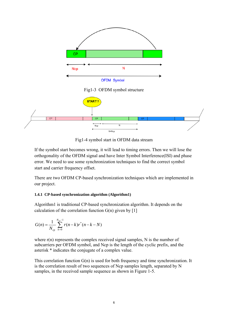<span id="page-5-0"></span>

Fig1-3 OFDM symbol structure



Fig1-4 symbol start in OFDM data stream

If the symbol start becomes wrong, it will lead to timing errors. Then we will lose the orthogonality of the OFDM signal and have Inter Symbol Interference(ISI) and phase error. We need to use some synchronization techniques to find the correct symbol start and carrier frequency offset.

There are two OFDM CP-based synchronization techniques which are implemented in our project.

#### **1.4.1 CP-based synchronization algorithm (Algorithm1)**

Algorithm1 is traditional CP-based synchronization algorithm. It depends on the calculation of the correlation function  $G(n)$  given by [1]

$$
G(n) = \frac{1}{N_{cp}} \sum_{k=0}^{N_{cp}-1} r(n-k)r^{*}(n-k-N)
$$

where r(n) represents the complex received signal samples, N is the number of subcarriers per OFDM symbol, and Ncp is the length of the cyclic prefix, and the asterisk \* indicates the conjugate of a complex value.

This correlation function G(n) is used for both frequency and time synchronization. It is the correlation result of two sequences of Ncp samples length, separated by N samples, in the received sample sequence as shown in Figure 1-5.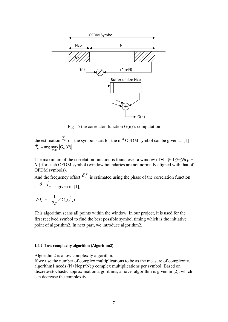<span id="page-6-0"></span>

Fig1-5 the correlaton function  $G(n)$ 's computation

the estimation  $\hat{T}_m$  of the symbol start for the m<sup>th</sup> OFDM symbol can be given as [1]  $\hat{T}_m = \arg \max_{\theta \in \Theta} \left| G_m(\theta) \right|$  $=$  arg max

The maximum of the correlation function is found over a window of Θ={θ|1≤θ≤*Ncp* + *N* } for each OFDM symbol (window boundaries are not normally aligned with that of OFDM symbols).

And the frequency offset  $\delta f$  is estimated using the phase of the correlation function at  $\theta = \hat{T}_m$  as given in [1],

$$
\hat{\delta f}_m = -\frac{1}{2\pi} \angle G_m(\hat{T}_m)
$$

This algorithm scans all points within the window. In our project, it is used for the first received symbol to find the best possible symbol timing which is the initiative point of algorithm2. In next part, we introduce algorithm2.

#### **1.4.2 Low complexity algorithm (Algorithm2)**

Algorithm2 is a low complexity algorithm.

If we use the number of complex multiplications to be as the measure of complexity, algorithm1 needs (N+Ncp)\*Ncp complex multiplications per symbol. Based on discrete-stochastic approximation algorithms, a novel algorithm is given in [2], which can decrease the complexity.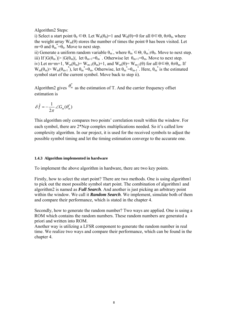<span id="page-7-0"></span>Algorithm2 Steps:

i) Select a start point  $\theta_0 \in \Theta$ . Let  $W_0(\theta_0)=1$  and  $W_0(\theta)=0$  for all  $\theta \in \Theta$ ,  $\theta \neq \theta_0$ , where the weight array  $W_m(\theta)$  stores the number of times the point  $\theta$  has been visited. Let m=0 and  $\theta_m^* = \theta_0$ . Move to next step.

ii) Generate a uniform random variable  $\theta_m$ , where  $\theta_m \in \Theta$ ,  $\theta_m \neq \theta_0$ . Move to next step. iii) If  $|G(\theta_m)| > |G(\theta_m)|$ , let  $\theta_{m+1} = \theta_m$ . Otherwise let  $\theta_{m+1} = \theta_m$ . Move to next step. iv) Let m=m+1,  $W_m(\theta_m) = W_{m-1}(\theta_m) + 1$ , and  $W_m(\theta) = W_{m-1}(\theta)$  for all  $\theta \in \Theta$ ,  $\theta \neq \theta_m$ . If  $W_m(\theta_m)$   $> W_m(\theta_{m-1}^*)$ , let  $\theta_m^* = \theta_m$ . Otherwise, let  $\theta_m^* = \theta_{m-1}^*$ . Here,  $\theta_m^*$  is the estimated symbol start of the current symbol. Move back to step ii).

Algorithm2 gives  $\theta_{m}^{*}$  as the estimation of T. And the carrier frequency offset estimation is

$$
\delta \hat{f} = -\frac{1}{2\pi} \angle G_m(\theta_m^*)
$$

This algorithm only compares two points' correlation result within the window. For each symbol, there are 2\*Ncp complex multiplications needed. So it's called low complexity algorithm. In our project, it is used for the received symbols to adjust the possible symbol timing and let the timing estimation converge to the accurate one.

#### **1.4.3 Algorithm implemented in hardware**

To implement the above algorithm in hardware, there are two key points.

Firstly, how to select the start point? There are two methods. One is using algorithm1 to pick out the most possible symbol start point. The combination of algorithm1 and algorithm2 is named as *Full Search*. And another is just picking an arbitrary point within the window. We call it *Random Search*. We implement, simulate both of them and compare their performance, which is stated in the chapter 4.

Secondly, how to generate the random number? Two ways are applied. One is using a ROM which contains the random numbers. These random numbers are generated a priori and written into ROM.

Another way is utilizing a LFSR component to generate the random number in real time. We realize two ways and compare their performance, which can be found in the chapter 4.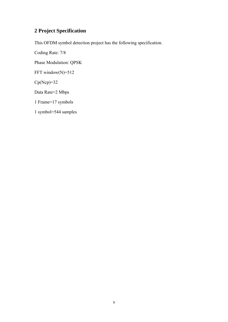# <span id="page-8-0"></span>**2 Project Specification**

This OFDM symbol detection project has the following specification.

Coding Rate: 7/8 Phase Modulation: QPSK FFT window(N)=512  $Cp(Ncp)=32$ Data Rate=2 Mbps 1 Frame=17 symbols 1 symbol=544 samples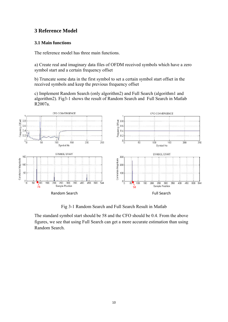## <span id="page-9-0"></span>**3 Reference Model**

#### **3.1 Main functions**

The reference model has three main functions.

a) Create real and imaginary data files of OFDM received symbols which have a zero symbol start and a certain frequency offset

b) Truncate some data in the first symbol to set a certain symbol start offset in the received symbols and keep the previous frequency offset

c) Implement Random Search (only algorithm2) and Full Search (algorithm1 and algorithm2). Fig3-1 shows the result of Random Search and Full Search in Matlab R2007a.



Fig 3-1 Random Search and Full Search Result in Matlab

The standard symbol start should be 58 and the CFO should be 0.4. From the above figures, we see that using Full Search can get a more accurate estimation than using Random Search.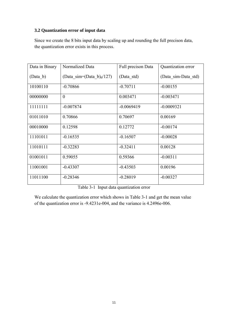## <span id="page-10-0"></span>**3.2 Quantization error of input data**

Since we create the 8 bits input data by scaling up and rounding the full precison data, the quantization error exists in this process.

| Data in Binary | Normalized Data                | Full precison Data | Quantization error  |
|----------------|--------------------------------|--------------------|---------------------|
| (Data b)       | (Data sim=(Data $b)_{d}/127$ ) | (Data std)         | (Data sim-Data std) |
| 10100110       | $-0.70866$                     | $-0.70711$         | $-0.00155$          |
| 00000000       | $\theta$                       | 0.003471           | $-0.003471$         |
| 11111111       | $-0.007874$                    | $-0.0069419$       | $-0.0009321$        |
| 01011010       | 0.70866                        | 0.70697            | 0.00169             |
| 00010000       | 0.12598                        | 0.12772            | $-0.00174$          |
| 11101011       | $-0.16535$                     | $-0.16507$         | $-0.00028$          |
| 11010111       | $-0.32283$                     | $-0.32411$         | 0.00128             |
| 01001011       | 0.59055                        | 0.59366            | $-0.00311$          |
| 11001001       | $-0.43307$                     | $-0.43503$         | 0.00196             |
| 11011100       | $-0.28346$                     | $-0.28019$         | $-0.00327$          |

Table 3-1 Input data quantization error

We calculate the quantization error which shows in Table 3-1 and get the mean value of the quantization error is -9.4231e-004, and the variance is 4.2496e-006.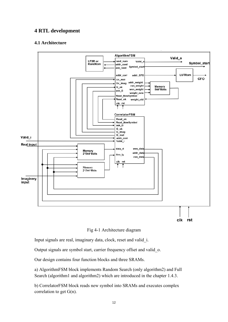## <span id="page-11-0"></span>**4 RTL development**

## **4.1 Architecture**



Fig 4-1 Architecture diagram

Input signals are real, imaginary data, clock, reset and valid\_i.

Output signals are symbol start, carrier frequency offset and valid\_o.

Our design contains four function blocks and three SRAMs.

a) AlgorithmFSM block implements Random Search (only algorithm2) and Full Search (algorithm1 and algorithm2) which are introduced in the chapter 1.4.3.

b) CorrelatorFSM block reads new symbol into SRAMs and executes complex correlation to get G(n).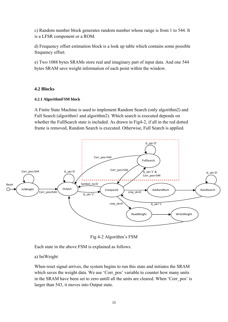<span id="page-12-0"></span>c) Random number block generates random number whose range is from 1 to 544. It is a LFSR component or a ROM.

d) Frequency offset estimation block is a look up table which contains some possible frequency offset.

e) Two 1088 bytes SRAMs store real and imaginary part of input data. And one 544 bytes SRAM save weight information of each point within the window.

#### **4.2 Blocks**

#### **4.2.1 AlgorithmFSM block**

A Finite State Machine is used to implement Random Search (only algorithm2) and Full Search (algorithm1 and algorithm2). Which search is executed depends on whether the FullSearch state is included. As drawn in Fig4-2, if all in the red dotted frame is removed, Random Search is executed. Otherwise, Full Search is applied.



Fig 4-2 Algorithm's FSM

Each state in the above FSM is explained as follows.

#### a) IniWeight

When reset signal arrives, the system begins to run this state and initiates the SRAM which saves the weight data. We use 'Corr pos' variable to counter how many units in the SRAM have been set to zero untill all the units are cleared. When 'Corr pos' is larger than 543, it moves into Output state.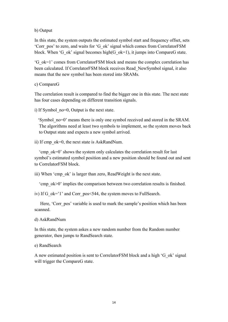#### b) Output

In this state, the system outputs the estimated symbol start and frequency offset, sets 'Corr\_pos' to zero, and waits for 'G\_ok' signal which comes from CorrelatorFSM block. When 'G\_ok' signal becomes high(G\_ok=1), it jumps into CompareG state.

'G\_ok=1' comes from CorrelatorFSM block and means the complex correlation has been calculated. If CorrelatorFSM block receives Read\_NewSymbol signal, it also means that the new symbol has been stored into SRAMs.

#### c) CompareG

The correlation result is compared to find the bigger one in this state. The next state has four cases depending on different transition signals.

i) If Symbol\_no=0, Output is the next state.

 'Symbol\_no=0' means there is only one symbol received and stored in the SRAM. The algorithms need at least two symbols to implement, so the system moves back to Output state and expects a new symbol arrived.

ii) If cmp\_ok=0, the next state is AskRandNum.

 'cmp\_ok=0' shows the system only calculates the correlation result for last symbol's estimated symbol position and a new position should be found out and sent to CorrelatorFSM block.

iii) When 'cmp\_ok' is larger than zero, ReadWeight is the next state.

'cmp\_ok>0' implies the comparison between two correlation results is finished.

iv) If G\_ok='1' and Corr\_pos<544, the system moves to FullSearch.

Here, 'Corrapos' variable is used to mark the sample's position which has been scanned.

d) AskRandNum

In this state, the system askes a new random number from the Random number generator, then jumps to RandSearch state.

#### e) RandSearch

A new estimated position is sent to CorrelatorFSM block and a high 'G\_ok' signal will trigger the CompareG state.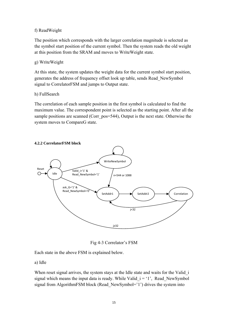### f) ReadWeight

The position which corresponds with the larger correlation magnitude is selected as the symbol start position of the current symbol. Then the system reads the old weight at this position from the SRAM and moves to WriteWeight state.

## g) WriteWeight

At this state, the system updates the weight data for the current symbol start position, generates the address of frequency offset look up table, sends Read\_NewSymbol signal to CorrelatorFSM and jumps to Output state.

### h) FullSearch

The correlation of each sample position in the first symbol is calculated to find the maximum value. The correspondent point is selected as the starting point. After all the sample positions are scanned (Corr\_pos=544), Output is the next state. Otherwise the system moves to CompareG state.



### **4.2.2 CorrelatorFSM block**

Fig 4-3 Correlator's FSM

Each state in the above FSM is explained below.

## a) Idle

When reset signal arrives, the system stays at the Idle state and waits for the Valid i signal which means the input data is ready. While Valid  $i = '1'$ , Read NewSymbol signal from AlgorithmFSM block (Read NewSymbol='1') drives the system into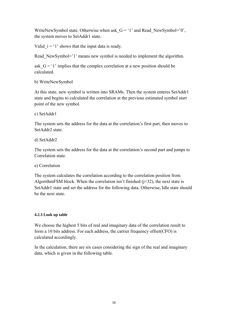WriteNewSymbol state. Otherwise when ask  $G = '1'$  and Read\_NewSymbol='0', the system moves to SetAddr1 state.

Valid  $i = 1'$  shows that the input data is ready.

Read NewSymbol='1' means new symbol is needed to implement the algorithm.

ask  $G = '1'$  implies that the complex correlation at a new position should be calculated.

b) WriteNewSymbol

At this state, new symbol is written into SRAMs. Then the system enteres SetAddr1 state and begins to calculated the correlation at the previous estimated symbol start point of the new symbol.

c) SetAddr1

The system sets the address for the data at the correlation's first part, then moves to SetAddr2 state.

d) SetAddr2

The system sets the address for the data at the correlation's second part and jumps to Correlation state.

e) Correlation

The system calculates the correlation according to the correlation position from AlgorithmFSM block. When the correlation isn't finished  $(j<32)$ , the next state is SetAddr1 state and set the address for the following data. Otherwise, Idle state should be the next state.

## **4.2.3 Look up table**

We choose the highest 5 bits of real and imaginary data of the correlation result to form a 10 bits address. For each address, the carrier frequency offset(CFO) is calculated accordingly.

In the calculation, there are six cases considering the sign of the real and imaginary data, which is given in the following table.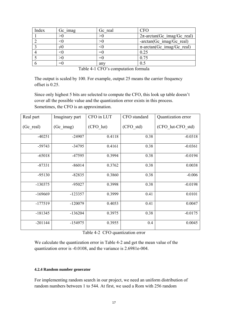| Index | Gc imag | Gc real | CFO                                |
|-------|---------|---------|------------------------------------|
|       |         |         | $2\pi$ -arctan(Gc imag/Gc real)    |
|       |         |         | $-arctan(Gc \text{ imag/Gc real})$ |
|       |         |         | $\pi$ -arctan(Gc imag/Gc real)     |
|       |         | =0      | 0.25                               |
|       |         |         | 0.75                               |
|       |         | any     |                                    |

| Table 4-1 CFO's computation formula |  |  |  |  |  |  |
|-------------------------------------|--|--|--|--|--|--|
|-------------------------------------|--|--|--|--|--|--|

The output is scaled by 100. For example, output 25 means the carrier frequency offset is 0.25.

Since only highest 5 bits are selected to compute the CFO, this look up table doesn't cover all the possible value and the quantization error exists in this process. Sometimes, the CFO is an approximation.

| Real part | Imaginary part | CFO in LUT | CFO standard | Quantization error |
|-----------|----------------|------------|--------------|--------------------|
| (Gc real) | (Gc imag)      | (CFO lut)  | (CFO std)    | (CFO lut-CFO std)  |
| $-40251$  | $-24907$       | 0.4118     | 0.38         | $-0.0318$          |
| $-59743$  | $-34795$       | 0.4161     | 0.38         | $-0.0361$          |
| $-65018$  | $-47595$       | 0.3994     | 0.38         | $-0.0194$          |
| $-87331$  | $-86014$       | 0.3762     | 0.38         | 0.0038             |
| $-95130$  | $-82835$       | 0.3860     | 0.38         | $-0.006$           |
| $-130375$ | $-95027$       | 0.3998     | 0.38         | $-0.0198$          |
| $-169669$ | $-123357$      | 0.3999     | 0.41         | 0.0101             |
| $-177519$ | $-120079$      | 0.4053     | 0.41         | 0.0047             |
| $-181345$ | $-136204$      | 0.3975     | 0.38         | $-0.0175$          |
| $-201144$ | $-154975$      | 0.3955     | 0.4          | 0.0045             |

Table 4-2 CFO quantization error

We calculate the quantization error in Table 4-2 and get the mean value of the quantization error is -0.0108, and the variance is 2.6981e-004.

#### **4.2.4 Random number generator**

For implementing random search in our project, we need an uniform distribution of random numbers between 1 to 544. At first, we used a Rom with 256 random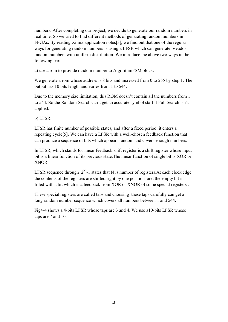numbers. After completing our project, we decide to generate our random numbers in real time. So we tried to find different methods of genarating random numbers in FPGAs. By reading Xilinx application notes[3], we find out that one of the regular ways for generating random numbers is using a LFSR which can generate pseudorandom numbers with uniform distribution. We introduce the above two ways in the following part.

a) use a rom to provide random number to AlgorithmFSM block.

We generate a rom whose address is 8 bits and increased from 0 to 255 by step 1. The output has 10 bits length and varies from 1 to 544.

Due to the memory size limitation, this ROM doesn't contain all the numbers from 1 to 544. So the Random Search can't get an accurate symbol start if Full Search isn't applied.

b) LFSR

LFSR has finite number of possible states, and after a fixed period, it enters a repeating cycle[5]. We can have a LFSR with a well-chosen feedback function that can produce a sequence of bits which appears random and covers enough numbers.

In LFSR, which stands for linear feedback shift register is a shift register whose input bit is a linear function of its previous state.The linear function of single bit is XOR or XNOR.

LFSR sequence through  $2^N$ -1 states that N is number of registers. At each clock edge the contents of the registers are shifted right by one position and the empty bit is filled with a bit which is a feedback from XOR or XNOR of some special registers .

These special registers are called taps and choosing these taps carefully can get a long random number sequence which covers all numbers between 1 and 544.

Fig4-4 shows a 4-bits LFSR whose taps are 3 and 4. We use a10-bits LFSR whose taps are 7 and 10.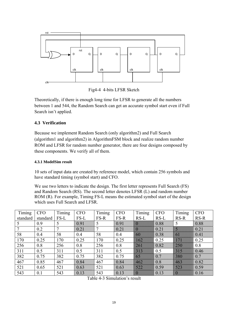<span id="page-18-0"></span>

Fig4-4 4-bits LFSR Sketch

Theoretically, if there is enough long time for LFSR to generate all the numbers between 1 and 544, the Random Search can get an accurate symbol start even if Full Search isn't applied.

## **4.3 Verification**

Because we implement Random Search (only algorithm2) and Full Search (algorithm1 and algorithm2) in AlgorithmFSM block and realize random number ROM and LFSR for random number generator, there are four designs composed by these components. We verify all of them.

#### **4.3.1 ModelSim result**

10 sets of input data are created by reference model, which contain 256 symbols and have standard timing (symbol start) and CFO.

We use two letters to indicate the design. The first letter represents Full Search (FS) and Random Search (RS). The second letter denotes LFSR (L) and random number ROM (R). For example, Timing FS-L means the estimated symbol start of the design which uses Full Search and LFSR.

| Timing   | <b>CFO</b> | Timing | <b>CFO</b>   | Timing | <b>CFO</b>  | Timing                                                                                                                                                                                                                         | <b>CFO</b>                        | Timing                                                                                                                                                                                                                         | <b>CFO</b>     |
|----------|------------|--------|--------------|--------|-------------|--------------------------------------------------------------------------------------------------------------------------------------------------------------------------------------------------------------------------------|-----------------------------------|--------------------------------------------------------------------------------------------------------------------------------------------------------------------------------------------------------------------------------|----------------|
| standard | standard   | $FS-L$ | FS-L         | FS-R   | FS-R        | $RS-L$                                                                                                                                                                                                                         | $RS-L$                            | $RS-R$                                                                                                                                                                                                                         | $RS-R$         |
|          | 0.9        |        | 891          |        | 89.         | W.                                                                                                                                                                                                                             | 0.88                              |                                                                                                                                                                                                                                | 0.88           |
|          | 0.2        | 7      | $\mathbf{W}$ |        | $\infty$    | I                                                                                                                                                                                                                              | $\infty$ 21                       | <b>Service</b>                                                                                                                                                                                                                 | $82\%$         |
| 58       | 0.4        | 58     | 0.4          | 58     | 0.4         | B                                                                                                                                                                                                                              | 0.38                              | in 1999                                                                                                                                                                                                                        | $\infty$       |
| 170      | 0.25       | 170    | 0.25         | 170    | 0.25        | William                                                                                                                                                                                                                        | 0.25                              | e anns an                                                                                                                                                                                                                      | 0.25           |
| 256      | 0.8        | 256    | 0.8          | 256    | 0.8         | e e constructor de la constructor de la constructor de la constructor de la constructor de la constructor de l                                                                                                                 | 0.82                              | e de la construcción                                                                                                                                                                                                           | 0.8            |
| 311      | 0.5        | 311    | 0.5          | 311    | 0.5         | e and the contract of the contract of the contract of the contract of the contract of the contract of the contract of the contract of the contract of the contract of the contract of the contract of the contract of the cont | 0.5                               | e ann an                                                                                                                                                                                                                       | $\delta$ 46    |
| 382      | 0.75       | 382    | 0.75         | 382    | 0.75        | <b>Service Service</b>                                                                                                                                                                                                         | $\infty$                          | e and the contract of                                                                                                                                                                                                          | $\sum_{i=1}^n$ |
| 467      | 0.85       | 467    | 0.84         | 467    | 0.84        | e e con                                                                                                                                                                                                                        | $\sqrt[3]{3}$                     | e and the contract of the contract of the contract of the contract of the contract of the contract of the contract of the contract of the contract of the contract of the contract of the contract of the contract of the cont | 0.82           |
| 521      | 0.65       | 521    | $\sqrt{83}$  | 521    | $0s\bar{s}$ | <b>Service Service</b>                                                                                                                                                                                                         | 0.59                              | e and the contract of the contract of the contract of the contract of the contract of the contract of the contract of the contract of the contract of the contract of the contract of the contract of the contract of the cont | 0.59           |
| 543      | 0.1        | 543    | $\delta$     | 543    | $\delta$    | W.                                                                                                                                                                                                                             | $\mathcal{S}$ . The $\mathcal{S}$ | in 1999                                                                                                                                                                                                                        | $\delta x$     |

Table 4-3 Simulation's result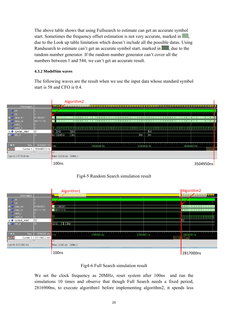<span id="page-19-0"></span>The above table shows that using Fullsearch to estimate can get an accurate symbol start. Sometimes the frequency offset estimation is not very accurate, marked in due to the Look up table limitation which doesn't include all the possible datas. Using Randsearch to estimate can't get an accurate symbol start, marked in **shows**, due to the random number generator. If the random number generator can't cover all the numbers between 1 and 544, we can't get an accurate result.

#### **4.3.2 ModelSim waves**

The following waves are the result when we use the input data whose standard symbol start is 58 and CFO is 0.4.









We set the clock frequency as 20MHz, reset system after 100ns and run the simulations 10 times and observe that though Full Search needs a fixed period, 2816900ns, to execute algorithm1 before implementing algorithm2, it spends less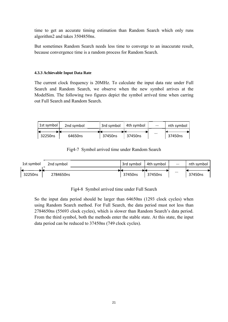<span id="page-20-0"></span>time to get an accurate timing estimation than Random Search which only runs algorithm2 and takes 3504850ns.

But sometimes Random Search needs less time to converge to an inaccurate result, because convergence time is a random process for Random Search.

#### **4.3.3 Achievable Input Data Rate**

The current clock frequency is 20MHz. To calculate the input data rate under Full Search and Random Search, we observe when the new symbol arrives at the ModelSim. The following two figures depict the symbol arrived time when carring out Full Search and Random Search.



Fig4-7 Symbol arrived time under Random Search



Fig4-8 Symbol arrived time under Full Search

So the input data period should be larger than 64650ns (1293 clock cycles) when using Random Search method. For Full Search, the data period must not less than 2784650ns (55693 clock cycles), which is slower than Random Search's data period. From the third symbol, both the methods enter the stable state. At this state, the input data period can be reduced to 37450ns (749 clock cycles).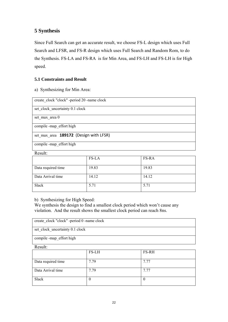# <span id="page-21-0"></span>**5 Synthesis**

Since Full Search can get an accurate result, we choose FS-L design which uses Full Search and LFSR, and FS-R design which uses Full Search and Random Rom, to do the Synthesis. FS-LA and FS-RA is for Min Area, and FS-LH and FS-LH is for High speed.

## **5.1 Constraints and Result**

a) Synthesizing for Min Area:

| create clock "clock" -period 20 -name clock |
|---------------------------------------------|
|                                             |
| set clock uncertainty 0.1 clock             |
|                                             |
| set max area 0                              |
|                                             |
|                                             |
| compile -map_effort high                    |
|                                             |
|                                             |
| set max area 189172 (Design with LFSR)      |
|                                             |
|                                             |
| compile -map effort high                    |
|                                             |
| $Re_{\rm F}$                                |

| Trophic.           |              |              |
|--------------------|--------------|--------------|
|                    | <b>FS-LA</b> | <b>FS-RA</b> |
| Data required time | 19.83        | 19.83        |
| Data Arrival time  | 14.12        | 14.12        |
| Slack              | 5.71         | 5.71         |

b) Synthesizing for High Speed:

We synthesis the design to find a smallest clock period which won't cause any violation. And the result shows the smallest clock period can reach 8ns.

| create clock "clock" -period 0 -name clock |       |       |  |  |
|--------------------------------------------|-------|-------|--|--|
|                                            |       |       |  |  |
|                                            |       |       |  |  |
| set clock uncertainty 0.1 clock            |       |       |  |  |
|                                            |       |       |  |  |
|                                            |       |       |  |  |
| compile -map effort high                   |       |       |  |  |
|                                            |       |       |  |  |
| Result:                                    |       |       |  |  |
|                                            | FS-LH | FS-RH |  |  |
|                                            |       |       |  |  |
|                                            |       |       |  |  |
| Data required time                         | 7.79  | 7.77  |  |  |
|                                            |       |       |  |  |
|                                            |       |       |  |  |
| Data Arrival time                          | 7.79  |       |  |  |

Slack 0 0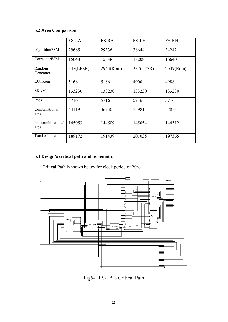## <span id="page-22-0"></span>**5.2 Area Comparison**

|                          | <b>FS-LA</b> | <b>FS-RA</b> | <b>FS-LH</b> | <b>FS-RH</b> |
|--------------------------|--------------|--------------|--------------|--------------|
| AlgorithmFSM             | 29665        | 29336        | 38644        | 34242        |
| CorrelatorFSM            | 15048        | 15048        | 18208        | 16640        |
| Random<br>Generator      | 347(LFSR)    | 2943(Rom)    | 337(LFSR)    | 2549(Rom)    |
| LUTRom                   | 5166         | 5166         | 4900         | 4988         |
| <b>SRAMs</b>             | 133230       | 133230       | 133230       | 133230       |
| Pads                     | 5716         | 5716         | 5716         | 5716         |
| Combinational<br>area    | 44119        | 46930        | 55981        | 52853        |
| Noncombinational<br>area | 145053       | 144509       | 145054       | 144512       |
| Total cell area          | 189172       | 191439       | 201035       | 197365       |

## **5.3 Design's critical path and Schematic**

Critical Path is shown below for clock period of 20ns.



Fig5-1 FS-LA's Critical Path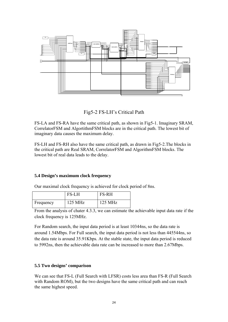<span id="page-23-0"></span>

Fig5-2 FS-LH's Critical Path

FS-LA and FS-RA have the same critical path, as shown in Fig5-1. Imaginary SRAM, CorrelatorFSM and AlgortithmFSM blocks are in the critical path. The lowest bit of imaginary data causes the maximum delay.

FS-LH and FS-RH also have the same critical path, as drawn in Fig5-2.The blocks in the critical path are Real SRAM, CorrelatorFSM and AlgorithmFSM blocks. The lowest bit of real data leads to the delay.

#### **5.4 Design's maximum clock frequency**

Our maximal clock frequency is achieved for clock period of 8ns.

|           | <b>FS-LH</b>      | <b>FS-RH</b>      |
|-----------|-------------------|-------------------|
| Frequency | $125 \text{ MHz}$ | $125 \text{ MHz}$ |

From the analysis of chater 4.3.3, we can estimate the achievable input data rate if the clock frequency is 125MHz.

For Random search, the input data period is at least 10344ns, so the data rate is around 1.54Mbps. For Full search, the input data period is not less than 445544ns, so the data rate is around 35.91Kbps. At the stable state, the input data period is reduced to 5992ns, then the achievable data rate can be increased to more than 2.67Mbps.

#### **5.5 Two designs' comparison**

We can see that FS-L (Full Search with LFSR) costs less area than FS-R (Full Search with Random ROM), but the two designs have the same critical path and can reach the same highest speed.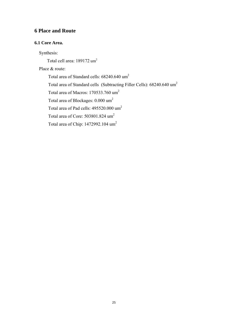# <span id="page-24-0"></span>**6 Place and Route**

#### **6.1 Core Area.**

Synthesis:

Total cell area: 189172 um<sup>2</sup>

## Place & route:

Total area of Standard cells: 68240.640 um2 Total area of Standard cells (Subtracting Filler Cells): 68240.640 um<sup>2</sup> Total area of Macros: 170533.760 um2 Total area of Blockages: 0.000 um2 Total area of Pad cells: 495520.000 um<sup>2</sup> Total area of Core: 503801.824 um2 Total area of Chip: 1472992.104 um2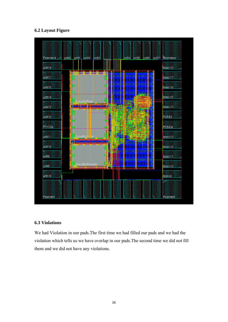## <span id="page-25-0"></span>**6.2 Layout Figure**



## **6.3 Violations**

We had Violation in our pads.The first time we had filled our pads and we had the violation which tells us we have overlap in our pads.The second time we did not fill them and we did not have any violations.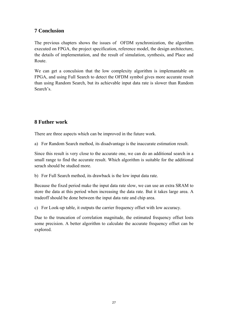# <span id="page-26-0"></span>**7 Conclusion**

The previous chapters shows the issues of OFDM synchronization, the algorithm executed on FPGA, the project specification, reference model, the design architecture, the details of implementation, and the result of simulation, synthesis, and Place and Route.

We can get a conculsion that the low complexity algorithm is implemantable on FPGA, and using Full Search to detect the OFDM symbol gives more accurate result than using Random Search, but its achievable input data rate is slower than Random Search's.

# **8 Futher work**

There are three aspects which can be improved in the future work.

a) For Random Search method, its disadvantage is the inaccurate estimation result.

Since this result is very close to the accurate one, we can do an additional search in a small range to find the accurate result. Which algorithm is suitable for the additional serach should be studied more.

b) For Full Search method, its drawback is the low input data rate.

Because the fixed period make the input data rate slow, we can use an extra SRAM to store the data at this period when increasing the data rate. But it takes large area. A tradeoff should be done between the input data rate and chip area.

c) For Look-up table, it outputs the carrier frequency offset with low accuracy.

Due to the truncation of correlation magnitude, the estimated frequency offset losts some precision. A better algorithm to calculate the accurate frequency offset can be explored.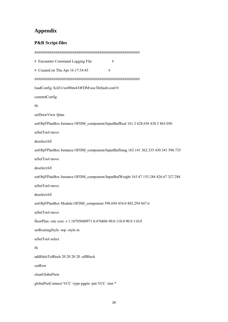# <span id="page-27-0"></span>**Appendix**

#### **P&R Script-files**

####################################################### # Encounter Command Logging File # # Created on Thu Apr  $16 \frac{17:34:45}{ }$  # ####################################################### loadConfig /h/d3/r/sx08lm4/OFDM/soc/Default.conf 0 commitConfig fit setDrawView fplan setObjFPlanBox Instance OFDM\_component/InputBufReal 161.3 628.656 428.5 863.056 uiSetTool move deselectAll setObjFPlanBox Instance OFDM\_component/InputBufImag 163.141 362.335 430.341 596.735 uiSetTool move deselectAll setObjFPlanBox Instance OFDM\_component/InputBufWeight 163.47 155.284 426.67 327.284 uiSetTool move deselectAll setObjFPlanBox Module OFDM\_component 598.694 454.0 882.294 847.6 uiSetTool move floorPlan -site core -r 1.18785040971 0.476806 90.0 110.0 90.0 110.0 setRoutingStyle -top -style m uiSetTool select fit addHaloToBlock 20 20 20 20 -allBlock cutRow clearGlobalNets globalNetConnect VCC -type pgpin -pin VCC -inst \*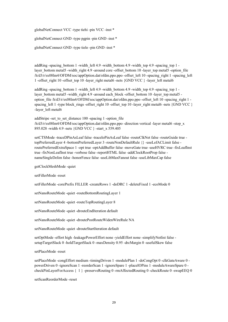globalNetConnect VCC -type tiehi -pin VCC -inst \*

globalNetConnect GND -type pgpin -pin GND -inst \*

globalNetConnect GND -type tielo -pin GND -inst \*

addRing -spacing bottom 1 -width left 4.9 -width bottom 4.9 -width top 4.9 -spacing top 1 layer\_bottom metal5 -width\_right 4.9 -around core -offset\_bottom 10 -layer\_top metal5 -option\_file /h/d3/r/sx08lm4/OFDM/soc/appOption.dat/ofdm.ppo.ppo -offset\_left 10 -spacing\_right 1 -spacing\_left 1 -offset\_right 10 -offset\_top 10 -layer\_right metal6 -nets {GND VCC } -layer\_left metal6

addRing -spacing bottom 1 -width left 4.9 -width bottom 4.9 -width top 4.9 -spacing top 1 layer\_bottom metal5 -width\_right 4.9 -around each\_block -offset\_bottom 10 -layer\_top metal5 option\_file /h/d3/r/sx08lm4/OFDM/soc/appOption.dat/ofdm.ppo.ppo -offset\_left 10 -spacing\_right 1 spacing left 1 -type block rings -offset right 10 -offset top 10 -layer right metal6 -nets {GND VCC } -layer left metal6

addStripe -set to set distance 100 -spacing 1 -option file /h/d3/r/sx08lm4/OFDM/soc/appOption.dat/ofdm.ppo.ppo -direction vertical -layer metal6 -stop\_x 895.028 -width 4.9 -nets {GND VCC } -start\_x 559.405

setCTSMode -traceDPinAsLeaf false -traceIoPinAsLeaf false -routeClkNet false -routeGuide true topPreferredLayer 4 -bottomPreferredLayer 3 -routeNonDefaultRule {} -useLefACLimit false routePreferredExtraSpace 1 -opt true -optAddBuffer false -moveGate true -useHVRC true -fixLeafInst true -fixNonLeafInst true -verbose false -reportHTML false -addClockRootProp false nameSingleDelim false -honorFence false -useLibMaxFanout false -useLibMaxCap false

getClockMeshMode -quiet

setFillerMode -reset

setFillerMode -corePrefix FILLER -createRows 1 -doDRC 1 -deleteFixed 1 -ecoMode 0

setNanoRouteMode -quiet -routeBottomRoutingLayer 1

setNanoRouteMode -quiet -routeTopRoutingLayer 8

setNanoRouteMode -quiet -drouteEndIteration default

setNanoRouteMode -quiet -droutePostRouteWidenWireRule NA

setNanoRouteMode -quiet -drouteStartIteration default

setOptMode -effort high -leakagePowerEffort none -yieldEffort none -simplifyNetlist false setupTargetSlack 0 -holdTargetSlack 0 -maxDensity 0.95 -drcMargin 0 -usefulSkew false

setPlaceMode -reset

setPlaceMode -congEffort medium -timingDriven 1 -modulePlan 1 -doCongOpt 0 -clkGateAware 0 powerDriven 0 -ignoreScan 1 -reorderScan 1 -ignoreSpare 1 -placeIOPins 1 -moduleAwareSpare 0 checkPinLayerForAccess { 1 } -preserveRouting 0 -rmAffectedRouting 0 -checkRoute 0 -swapEEQ 0

setScanReorderMode -reset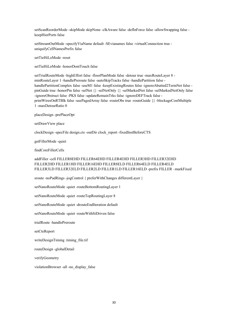setScanReorderMode -skipMode skipNone -clkAware false -defInForce false -allowSwapping false keepHierPorts false

setStreamOutMode -specifyViaName default -SEvianames false -virtualConnection true uniquifyCellNamesPrefix false

setTieHiLoMode -reset

setTieHiLoMode -honorDontTouch false

setTrialRouteMode -highEffort false -floorPlanMode false -detour true -maxRouteLayer 8 minRouteLayer 1 -handlePreroute false -autoSkipTracks false -handlePartition false handlePartitionComplex false -useM1 false -keepExistingRoutes false -ignoreAbutted2TermNet false pinGuide true -honorPin false -selNet {} -selNetOnly {} -selMarkedNet false -selMarkedNetOnly false -ignoreObstruct false -PKS false -updateRemainTrks false -ignoreDEFTrack false printWiresOnRTBlk false -usePagedArray false -routeObs true -routeGuide {} -blockageCostMultiple 1 -maxDetourRatio 0

placeDesign -prePlaceOpt

setDrawView place

clockDesign -specFile design.cts -outDir clock\_report -fixedInstBeforeCTS

getFillerMode -quiet

findCoreFillerCells

#### addFiller -cell FILLER8EHD FILLER64EHD FILLER4EHD FILLER3HD FILLER32EHD FILLER2HD FILLER1HD FILLER16EHD FILLER8ELD FILLER64ELD FILLER4ELD FILLER3LD FILLER32ELD FILLER2LD FILLER1LD FILLER16ELD -prefix FILLER –markFixed

sroute -noPadRings -jogControl { preferWithChanges differentLayer }

setNanoRouteMode -quiet -routeBottomRoutingLayer 1

setNanoRouteMode -quiet -routeTopRoutingLayer 8

setNanoRouteMode -quiet -drouteEndIteration default

setNanoRouteMode -quiet -routeWithSiDriven false

trialRoute -handlePreroute

setCteReport

writeDesignTiming .timing\_file.tif

routeDesign -globalDetail

verifyGeometry

violationBrowser -all -no\_display\_false